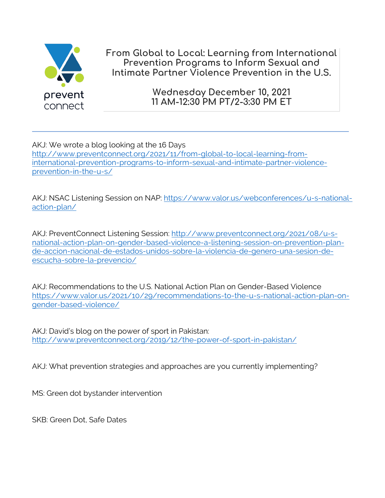

**From Global to Local: Learning from International Prevention Programs to Inform Sexual and Intimate Partner Violence Prevention in the U.S.**

> **Wednesday December 10, 2021 11 AM-12:30 PM PT/2-3:30 PM ET**

AKJ: We wrote a blog looking at the 16 Days http://www.preventconnect.org/2021/11/from-global-to-local-learning-frominternational-prevention-programs-to-inform-sexual-and-intimate-partner-violenceprevention-in-the-u-s/

AKJ: NSAC Listening Session on NAP: https://www.valor.us/webconferences/u-s-nationalaction-plan/

AKJ: PreventConnect Listening Session: http://www.preventconnect.org/2021/08/u-snational-action-plan-on-gender-based-violence-a-listening-session-on-prevention-plande-accion-nacional-de-estados-unidos-sobre-la-violencia-de-genero-una-sesion-deescucha-sobre-la-prevencio/

AKJ: Recommendations to the U.S. National Action Plan on Gender-Based Violence https://www.valor.us/2021/10/29/recommendations-to-the-u-s-national-action-plan-ongender-based-violence/

AKJ: David's blog on the power of sport in Pakistan: http://www.preventconnect.org/2019/12/the-power-of-sport-in-pakistan/

AKJ: What prevention strategies and approaches are you currently implementing?

MS: Green dot bystander intervention

SKB: Green Dot, Safe Dates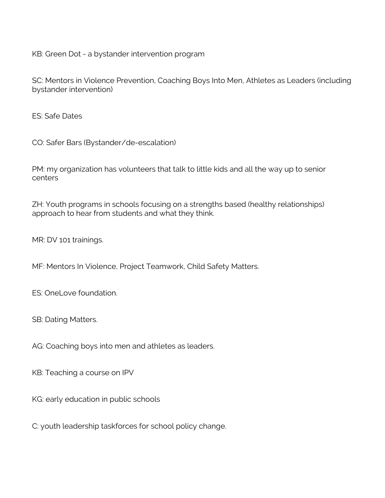KB: Green Dot - a bystander intervention program

SC: Mentors in Violence Prevention, Coaching Boys Into Men, Athletes as Leaders (including bystander intervention)

ES: Safe Dates

CO: Safer Bars (Bystander/de-escalation)

PM: my organization has volunteers that talk to little kids and all the way up to senior centers

ZH: Youth programs in schools focusing on a strengths based (healthy relationships) approach to hear from students and what they think.

MR: DV 101 trainings.

MF: Mentors In Violence, Project Teamwork, Child Safety Matters.

ES: OneLove foundation.

SB: Dating Matters.

AG: Coaching boys into men and athletes as leaders.

KB: Teaching a course on IPV

KG: early education in public schools

C: youth leadership taskforces for school policy change.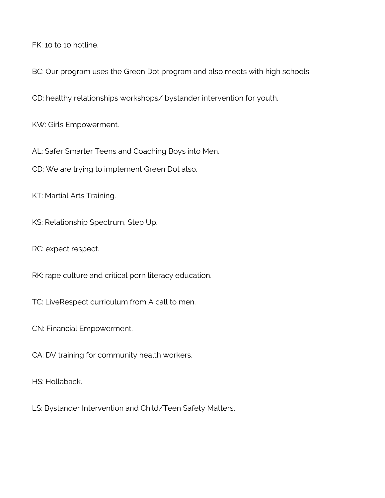FK: 10 to 10 hotline.

BC: Our program uses the Green Dot program and also meets with high schools.

CD: healthy relationships workshops/ bystander intervention for youth.

KW: Girls Empowerment.

AL: Safer Smarter Teens and Coaching Boys into Men.

CD: We are trying to implement Green Dot also.

KT: Martial Arts Training.

KS: Relationship Spectrum, Step Up.

RC: expect respect.

RK: rape culture and critical porn literacy education.

TC: LiveRespect curriculum from A call to men.

CN: Financial Empowerment.

CA: DV training for community health workers.

HS: Hollaback.

LS: Bystander Intervention and Child/Teen Safety Matters.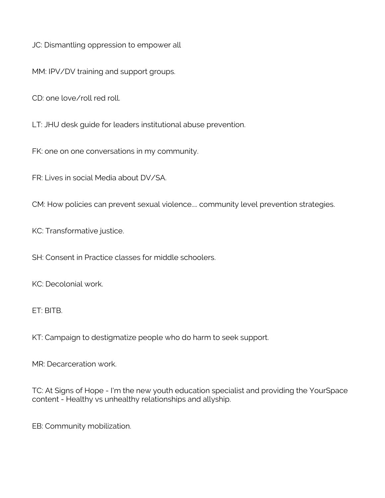JC: Dismantling oppression to empower all

MM: IPV/DV training and support groups.

CD: one love/roll red roll.

LT: JHU desk guide for leaders institutional abuse prevention.

FK: one on one conversations in my community.

FR: Lives in social Media about DV/SA.

CM: How policies can prevent sexual violence.... community level prevention strategies.

KC: Transformative justice.

SH: Consent in Practice classes for middle schoolers.

KC: Decolonial work.

ET: BITB.

KT: Campaign to destigmatize people who do harm to seek support.

MR: Decarceration work.

TC: At Signs of Hope - I'm the new youth education specialist and providing the YourSpace content - Healthy vs unhealthy relationships and allyship.

EB: Community mobilization.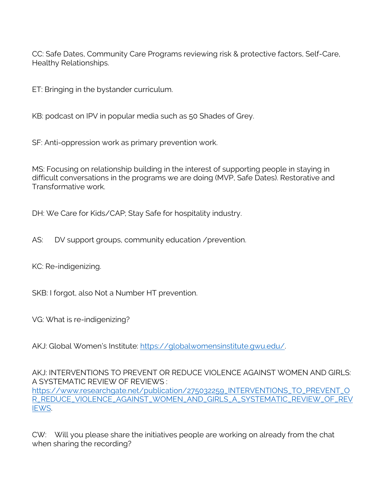CC: Safe Dates, Community Care Programs reviewing risk & protective factors, Self-Care, Healthy Relationships.

ET: Bringing in the bystander curriculum.

KB: podcast on IPV in popular media such as 50 Shades of Grey.

SF: Anti-oppression work as primary prevention work.

MS: Focusing on relationship building in the interest of supporting people in staying in difficult conversations in the programs we are doing (MVP, Safe Dates). Restorative and Transformative work.

DH: We Care for Kids/CAP; Stay Safe for hospitality industry.

AS: DV support groups, community education /prevention.

KC: Re-indigenizing.

SKB: I forgot, also Not a Number HT prevention.

VG: What is re-indigenizing?

AKJ: Global Women's Institute: https://globalwomensinstitute.gwu.edu/.

AKJ: INTERVENTIONS TO PREVENT OR REDUCE VIOLENCE AGAINST WOMEN AND GIRLS: A SYSTEMATIC REVIEW OF REVIEWS : https://www.researchgate.net/publication/275032259\_INTERVENTIONS\_TO\_PREVENT\_O R\_REDUCE\_VIOLENCE\_AGAINST\_WOMEN\_AND\_GIRLS\_A\_SYSTEMATIC\_REVIEW\_OF\_REV IEWS.

CW: Will you please share the initiatives people are working on already from the chat when sharing the recording?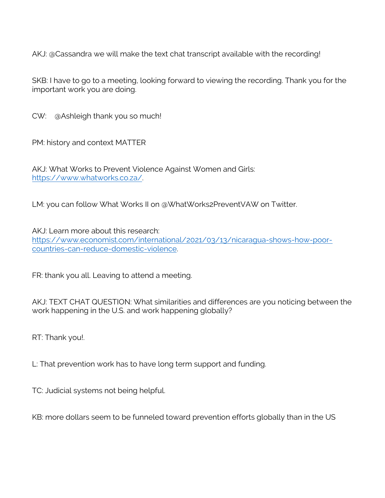AKJ: @Cassandra we will make the text chat transcript available with the recording!

SKB: I have to go to a meeting, looking forward to viewing the recording. Thank you for the important work you are doing.

CW: @Ashleigh thank you so much!

PM: history and context MATTER

AKJ: What Works to Prevent Violence Against Women and Girls: https://www.whatworks.co.za/.

LM: you can follow What Works II on @WhatWorks2PreventVAW on Twitter.

AKJ: Learn more about this research: https://www.economist.com/international/2021/03/13/nicaragua-shows-how-poorcountries-can-reduce-domestic-violence.

FR: thank you all. Leaving to attend a meeting.

AKJ: TEXT CHAT QUESTION: What similarities and differences are you noticing between the work happening in the U.S. and work happening globally?

RT: Thank you!.

L: That prevention work has to have long term support and funding.

TC: Judicial systems not being helpful.

KB: more dollars seem to be funneled toward prevention efforts globally than in the US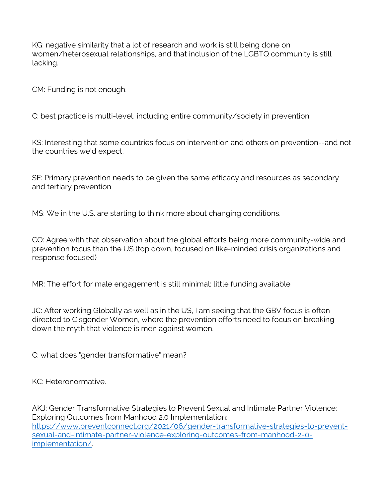KG: negative similarity that a lot of research and work is still being done on women/heterosexual relationships, and that inclusion of the LGBTQ community is still lacking.

CM: Funding is not enough.

C: best practice is multi-level, including entire community/society in prevention.

KS: Interesting that some countries focus on intervention and others on prevention--and not the countries we'd expect.

SF: Primary prevention needs to be given the same efficacy and resources as secondary and tertiary prevention

MS: We in the U.S. are starting to think more about changing conditions.

CO: Agree with that observation about the global efforts being more community-wide and prevention focus than the US (top down, focused on like-minded crisis organizations and response focused)

MR: The effort for male engagement is still minimal; little funding available

JC: After working Globally as well as in the US, I am seeing that the GBV focus is often directed to Cisgender Women, where the prevention efforts need to focus on breaking down the myth that violence is men against women.

C: what does "gender transformative" mean?

KC: Heteronormative.

AKJ: Gender Transformative Strategies to Prevent Sexual and Intimate Partner Violence: Exploring Outcomes from Manhood 2.0 Implementation: https://www.preventconnect.org/2021/06/gender-transformative-strategies-to-preventsexual-and-intimate-partner-violence-exploring-outcomes-from-manhood-2-0 implementation/.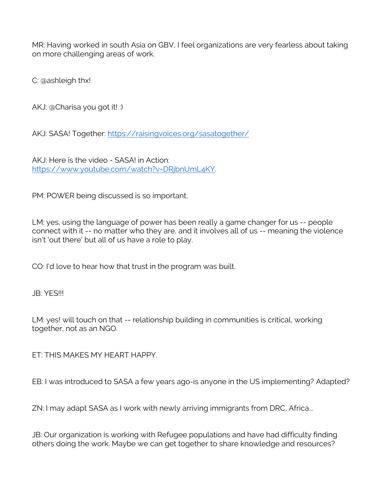MR: Having worked in south Asia on GBV, I feel organizations are very fearless about taking on more challenging areas of work.

C: @ashleigh thx!

AKJ: @Charisa you got it! :)

AKJ: SASA! Together: https://raisingvoices.org/sasatogether/

AKJ: Here is the video - SASA! in Action: https://www.youtube.com/watch?v=DRjbnUmL4KY.

PM: POWER being discussed is so important.

LM: yes, using the language of power has been really a game changer for us -- people connect with it -- no matter who they are, and it involves all of us -- meaning the violence isn't 'out there' but all of us have a role to play.

CO: I'd love to hear how that trust in the program was built.

JB: YES!!!

LM: yes! will touch on that -- relationship building in communities is critical, working together, not as an NGO.

ET: THIS MAKES MY HEART HAPPY.

EB: I was introduced to SASA a few years ago-is anyone in the US implementing? Adapted?

ZN: I may adapt SASA as I work with newly arriving immigrants from DRC, Africa...

JB: Our organization is working with Refugee populations and have had difficulty finding others doing the work. Maybe we can get together to share knowledge and resources?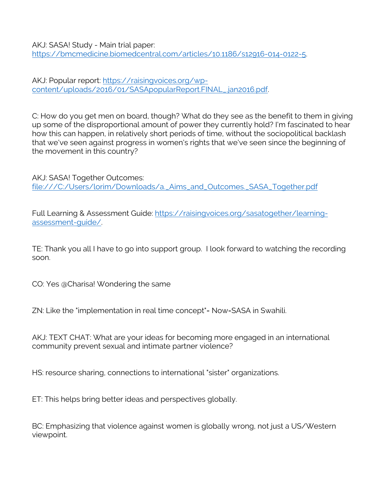AKJ: SASA! Study - Main trial paper: https://bmcmedicine.biomedcentral.com/articles/10.1186/s12916-014-0122-5.

AKJ: Popular report: https://raisingvoices.org/wpcontent/uploads/2016/01/SASApopularReport.FINAL\_.jan2016.pdf.

C: How do you get men on board, though? What do they see as the benefit to them in giving up some of the disproportional amount of power they currently hold? I'm fascinated to hear how this can happen, in relatively short periods of time, without the sociopolitical backlash that we've seen against progress in women's rights that we've seen since the beginning of the movement in this country?

AKJ: SASA! Together Outcomes: file:///C:/Users/lorim/Downloads/a.\_Aims\_and\_Outcomes.\_SASA\_Together.pdf

Full Learning & Assessment Guide: https://raisingvoices.org/sasatogether/learningassessment-guide/.

TE: Thank you all I have to go into support group. I look forward to watching the recording soon.

CO: Yes @Charisa! Wondering the same

ZN: Like the "implementation in real time concept"= Now=SASA in Swahili.

AKJ: TEXT CHAT: What are your ideas for becoming more engaged in an international community prevent sexual and intimate partner violence?

HS: resource sharing, connections to international "sister" organizations.

ET: This helps bring better ideas and perspectives globally.

BC: Emphasizing that violence against women is globally wrong, not just a US/Western viewpoint.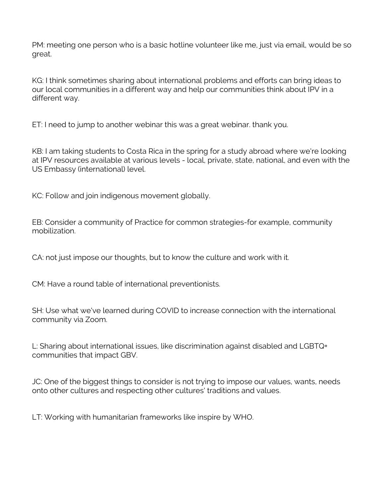PM: meeting one person who is a basic hotline volunteer like me, just via email, would be so great.

KG: I think sometimes sharing about international problems and efforts can bring ideas to our local communities in a different way and help our communities think about IPV in a different way.

ET: I need to jump to another webinar this was a great webinar. thank you.

KB: I am taking students to Costa Rica in the spring for a study abroad where we're looking at IPV resources available at various levels - local, private, state, national, and even with the US Embassy (international) level.

KC: Follow and join indigenous movement globally.

EB: Consider a community of Practice for common strategies-for example, community mobilization.

CA: not just impose our thoughts, but to know the culture and work with it.

CM: Have a round table of international preventionists.

SH: Use what we've learned during COVID to increase connection with the international community via Zoom.

L: Sharing about international issues, like discrimination against disabled and LGBTQ+ communities that impact GBV.

JC: One of the biggest things to consider is not trying to impose our values, wants, needs onto other cultures and respecting other cultures' traditions and values.

LT: Working with humanitarian frameworks like inspire by WHO.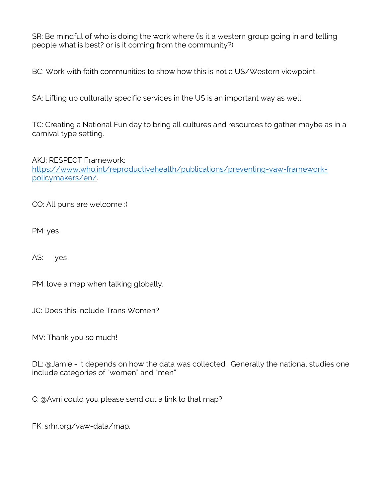SR: Be mindful of who is doing the work where (is it a western group going in and telling people what is best? or is it coming from the community?)

BC: Work with faith communities to show how this is not a US/Western viewpoint.

SA: Lifting up culturally specific services in the US is an important way as well.

TC: Creating a National Fun day to bring all cultures and resources to gather maybe as in a carnival type setting.

AKJ: RESPECT Framework: https://www.who.int/reproductivehealth/publications/preventing-vaw-frameworkpolicymakers/en/.

CO: All puns are welcome :)

PM: yes

AS: yes

PM: love a map when talking globally.

JC: Does this include Trans Women?

MV: Thank you so much!

DL: @Jamie - it depends on how the data was collected. Generally the national studies one include categories of "women" and "men"

C: @Avni could you please send out a link to that map?

FK: srhr.org/vaw-data/map.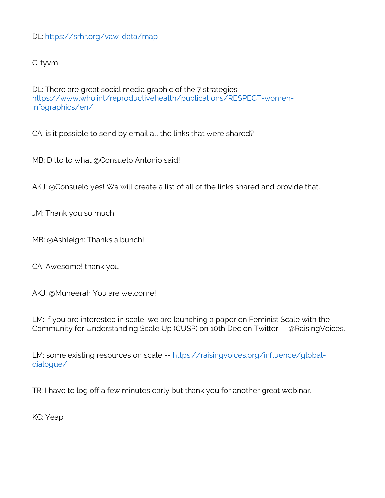## DL: https://srhr.org/vaw-data/map

## C: tyvm!

DL: There are great social media graphic of the 7 strategies https://www.who.int/reproductivehealth/publications/RESPECT-womeninfographics/en/

CA: is it possible to send by email all the links that were shared?

MB: Ditto to what @Consuelo Antonio said!

AKJ: @Consuelo yes! We will create a list of all of the links shared and provide that.

JM: Thank you so much!

MB: @Ashleigh: Thanks a bunch!

CA: Awesome! thank you

AKJ: @Muneerah You are welcome!

LM: if you are interested in scale, we are launching a paper on Feminist Scale with the Community for Understanding Scale Up (CUSP) on 10th Dec on Twitter -- @RaisingVoices.

LM: some existing resources on scale -- https://raisingvoices.org/influence/globaldialogue/

TR: I have to log off a few minutes early but thank you for another great webinar.

KC: Yeap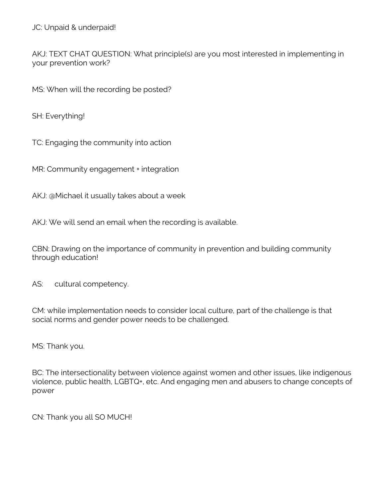AKJ: TEXT CHAT QUESTION: What principle(s) are you most interested in implementing in your prevention work?

MS: When will the recording be posted?

SH: Everything!

TC: Engaging the community into action

MR: Community engagement + integration

AKJ: @Michael it usually takes about a week

AKJ: We will send an email when the recording is available.

CBN: Drawing on the importance of community in prevention and building community through education!

AS: cultural competency.

CM: while implementation needs to consider local culture, part of the challenge is that social norms and gender power needs to be challenged.

MS: Thank you.

BC: The intersectionality between violence against women and other issues, like indigenous violence, public health, LGBTQ+, etc. And engaging men and abusers to change concepts of power

CN: Thank you all SO MUCH!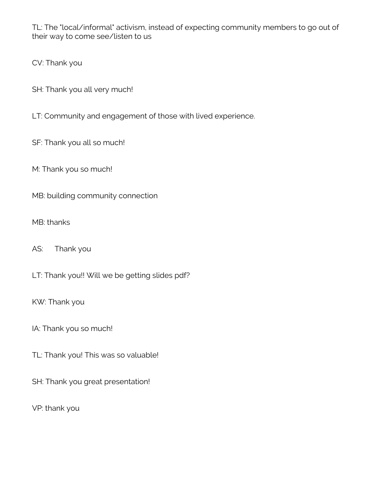TL: The "local/informal" activism, instead of expecting community members to go out of their way to come see/listen to us

CV: Thank you

- SH: Thank you all very much!
- LT: Community and engagement of those with lived experience.
- SF: Thank you all so much!

M: Thank you so much!

MB: building community connection

## MB: thanks

AS: Thank you

LT: Thank you!! Will we be getting slides pdf?

KW: Thank you

IA: Thank you so much!

- TL: Thank you! This was so valuable!
- SH: Thank you great presentation!

VP: thank you